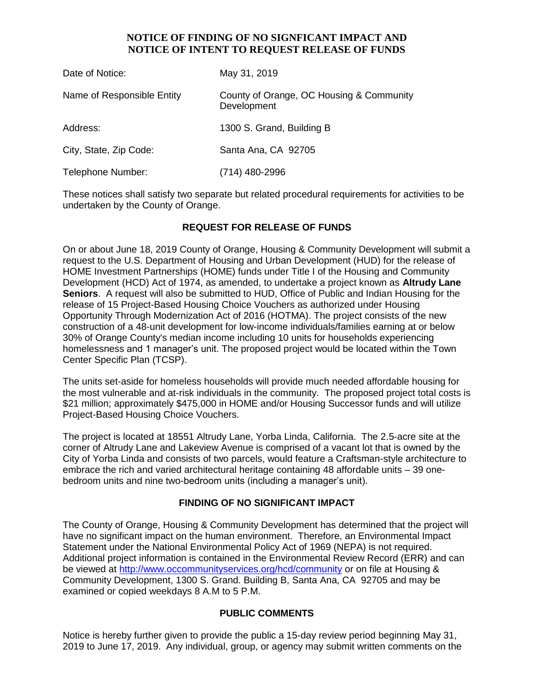### **NOTICE OF FINDING OF NO SIGNFICANT IMPACT AND NOTICE OF INTENT TO REQUEST RELEASE OF FUNDS**

| Date of Notice:            | May 31, 2019                                            |
|----------------------------|---------------------------------------------------------|
| Name of Responsible Entity | County of Orange, OC Housing & Community<br>Development |
| Address:                   | 1300 S. Grand, Building B                               |
| City, State, Zip Code:     | Santa Ana, CA 92705                                     |
| Telephone Number:          | (714) 480-2996                                          |

These notices shall satisfy two separate but related procedural requirements for activities to be undertaken by the County of Orange.

# **REQUEST FOR RELEASE OF FUNDS**

On or about June 18, 2019 County of Orange, Housing & Community Development will submit a request to the U.S. Department of Housing and Urban Development (HUD) for the release of HOME Investment Partnerships (HOME) funds under Title I of the Housing and Community Development (HCD) Act of 1974, as amended, to undertake a project known as **Altrudy Lane Seniors**. A request will also be submitted to HUD, Office of Public and Indian Housing for the release of 15 Project-Based Housing Choice Vouchers as authorized under Housing Opportunity Through Modernization Act of 2016 (HOTMA). The project consists of the new construction of a 48-unit development for low-income individuals/families earning at or below 30% of Orange County's median income including 10 units for households experiencing homelessness and 1 manager's unit. The proposed project would be located within the Town Center Specific Plan (TCSP).

The units set-aside for homeless households will provide much needed affordable housing for the most vulnerable and at-risk individuals in the community. The proposed project total costs is \$21 million; approximately \$475,000 in HOME and/or Housing Successor funds and will utilize Project-Based Housing Choice Vouchers.

The project is located at 18551 Altrudy Lane, Yorba Linda, California. The 2.5-acre site at the corner of Altrudy Lane and Lakeview Avenue is comprised of a vacant lot that is owned by the City of Yorba Linda and consists of two parcels, would feature a Craftsman-style architecture to embrace the rich and varied architectural heritage containing 48 affordable units – 39 onebedroom units and nine two-bedroom units (including a manager's unit).

### **FINDING OF NO SIGNIFICANT IMPACT**

The County of Orange, Housing & Community Development has determined that the project will have no significant impact on the human environment. Therefore, an Environmental Impact Statement under the National Environmental Policy Act of 1969 (NEPA) is not required. Additional project information is contained in the Environmental Review Record (ERR) and can be viewed at<http://www.occommunityservices.org/hcd/community> or on file at Housing & Community Development, 1300 S. Grand. Building B, Santa Ana, CA 92705 and may be examined or copied weekdays 8 A.M to 5 P.M.

### **PUBLIC COMMENTS**

Notice is hereby further given to provide the public a 15-day review period beginning May 31, 2019 to June 17, 2019. Any individual, group, or agency may submit written comments on the